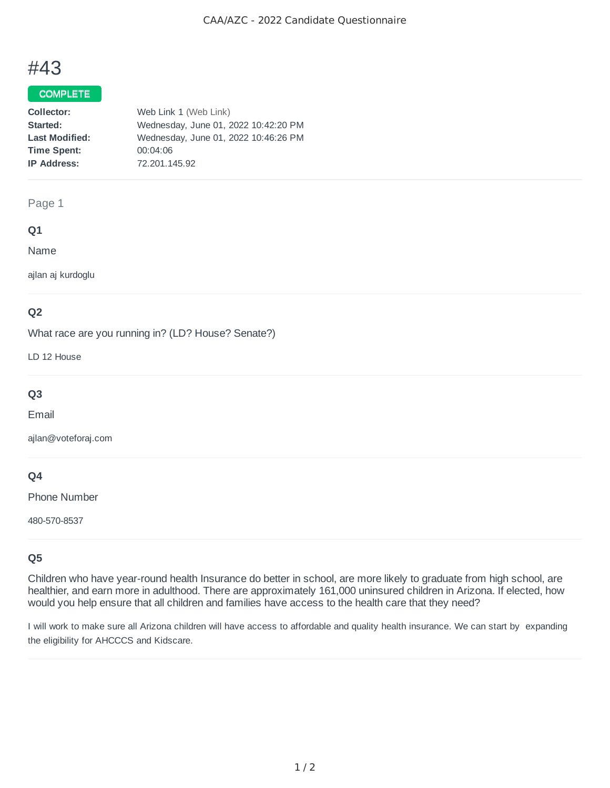# #43

## COMPLETE

| Web Link 1 (Web Link)                |
|--------------------------------------|
| Wednesday, June 01, 2022 10:42:20 PM |
| Wednesday, June 01, 2022 10:46:26 PM |
| 00:04:06                             |
| 72.201.145.92                        |
|                                      |

### Page 1

#### **Q1**

Name

ajlan aj kurdoglu

## **Q2**

What race are you running in? (LD? House? Senate?)

LD 12 House

## **Q3**

Email

ajlan@voteforaj.com

## **Q4**

Phone Number

480-570-8537

## **Q5**

Children who have year-round health Insurance do better in school, are more likely to graduate from high school, are healthier, and earn more in adulthood. There are approximately 161,000 uninsured children in Arizona. If elected, how would you help ensure that all children and families have access to the health care that they need?

I will work to make sure all Arizona children will have access to affordable and quality health insurance. We can start by expanding the eligibility for AHCCCS and Kidscare.